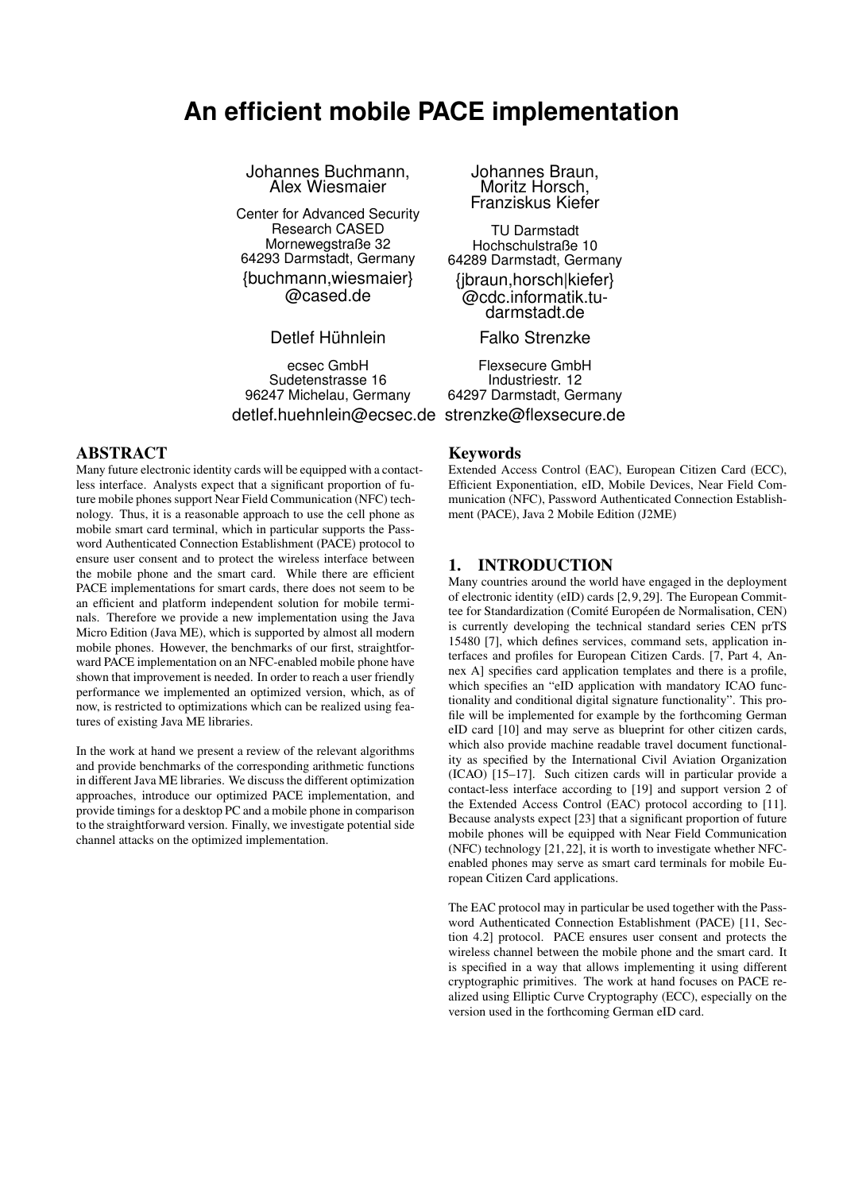# **An efficient mobile PACE implementation**

Johannes Buchmann, Alex Wiesmaier

Center for Advanced Security Research CASED Mornewegstraße 32 64293 Darmstadt, Germany {buchmann,wiesmaier} @cased.de

Detlef Hühnlein

ecsec GmbH Sudetenstrasse 16 96247 Michelau, Germany detlef.huehnlein@ecsec.de strenzke@flexsecure.de

ABSTRACT

Many future electronic identity cards will be equipped with a contactless interface. Analysts expect that a significant proportion of future mobile phones support Near Field Communication (NFC) technology. Thus, it is a reasonable approach to use the cell phone as mobile smart card terminal, which in particular supports the Password Authenticated Connection Establishment (PACE) protocol to ensure user consent and to protect the wireless interface between the mobile phone and the smart card. While there are efficient PACE implementations for smart cards, there does not seem to be an efficient and platform independent solution for mobile terminals. Therefore we provide a new implementation using the Java Micro Edition (Java ME), which is supported by almost all modern mobile phones. However, the benchmarks of our first, straightforward PACE implementation on an NFC-enabled mobile phone have shown that improvement is needed. In order to reach a user friendly performance we implemented an optimized version, which, as of now, is restricted to optimizations which can be realized using features of existing Java ME libraries.

In the work at hand we present a review of the relevant algorithms and provide benchmarks of the corresponding arithmetic functions in different Java ME libraries. We discuss the different optimization approaches, introduce our optimized PACE implementation, and provide timings for a desktop PC and a mobile phone in comparison to the straightforward version. Finally, we investigate potential side channel attacks on the optimized implementation.

Johannes Braun, Moritz Horsch, Franziskus Kiefer

TU Darmstadt Hochschulstraße 10 64289 Darmstadt, Germany {jbraun,horsch|kiefer} @cdc.informatik.tudarmstadt.de

Falko Strenzke

Flexsecure GmbH Industriestr. 12 64297 Darmstadt, Germany

#### Keywords

Extended Access Control (EAC), European Citizen Card (ECC), Efficient Exponentiation, eID, Mobile Devices, Near Field Communication (NFC), Password Authenticated Connection Establishment (PACE), Java 2 Mobile Edition (J2ME)

# 1. INTRODUCTION

Many countries around the world have engaged in the deployment of electronic identity (eID) cards [\[2,](#page-8-0) [9,](#page-8-1) [29\]](#page-9-0). The European Committee for Standardization (Comité Européen de Normalisation, CEN) is currently developing the technical standard series CEN prTS 15480 [\[7\]](#page-8-2), which defines services, command sets, application interfaces and profiles for European Citizen Cards. [\[7,](#page-8-2) Part 4, Annex A] specifies card application templates and there is a profile, which specifies an "eID application with mandatory ICAO functionality and conditional digital signature functionality". This profile will be implemented for example by the forthcoming German eID card [\[10\]](#page-8-3) and may serve as blueprint for other citizen cards, which also provide machine readable travel document functionality as specified by the International Civil Aviation Organization (ICAO) [\[15–](#page-9-1)[17\]](#page-9-2). Such citizen cards will in particular provide a contact-less interface according to [\[19\]](#page-9-3) and support version 2 of the Extended Access Control (EAC) protocol according to [\[11\]](#page-8-4). Because analysts expect [\[23\]](#page-9-4) that a significant proportion of future mobile phones will be equipped with Near Field Communication (NFC) technology [\[21,](#page-9-5) [22\]](#page-9-6), it is worth to investigate whether NFCenabled phones may serve as smart card terminals for mobile European Citizen Card applications.

The EAC protocol may in particular be used together with the Password Authenticated Connection Establishment (PACE) [\[11,](#page-8-4) Section 4.2] protocol. PACE ensures user consent and protects the wireless channel between the mobile phone and the smart card. It is specified in a way that allows implementing it using different cryptographic primitives. The work at hand focuses on PACE realized using Elliptic Curve Cryptography (ECC), especially on the version used in the forthcoming German eID card.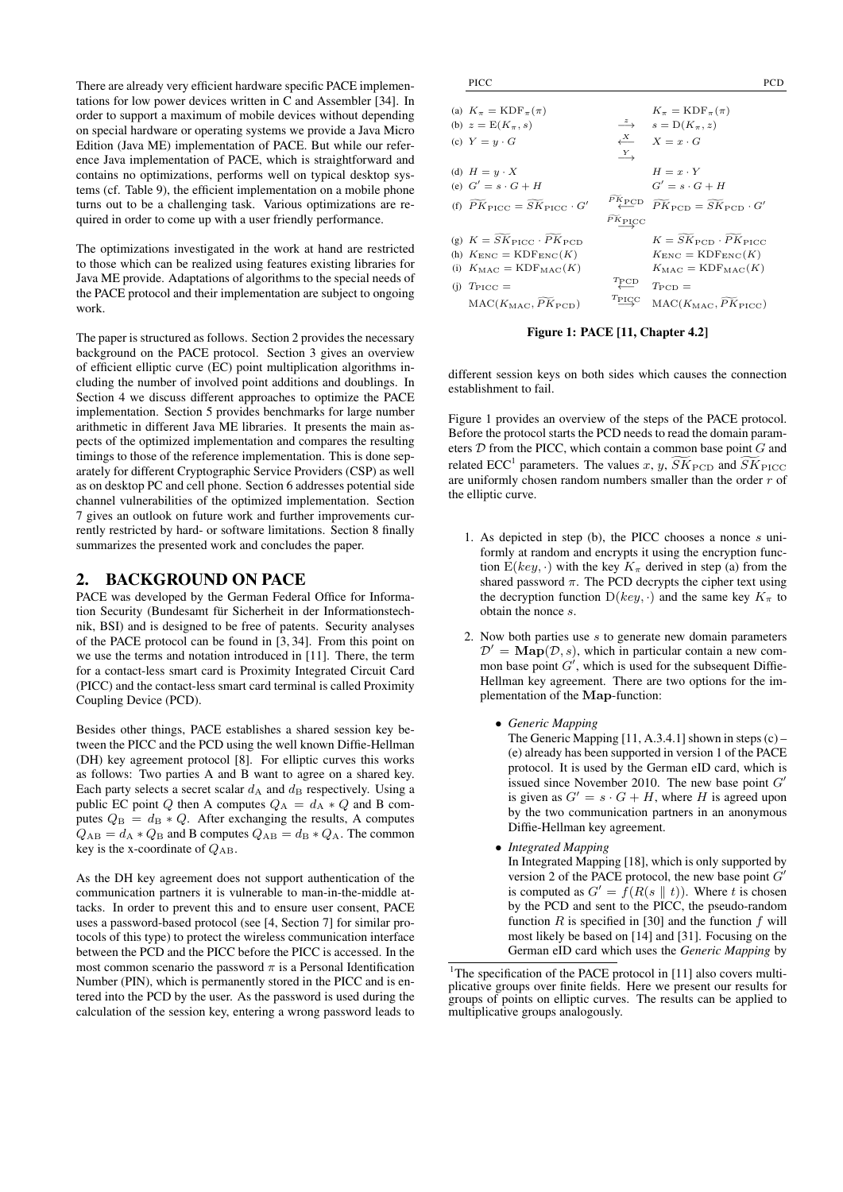There are already very efficient hardware specific PACE implementations for low power devices written in C and Assembler [\[34\]](#page-9-7). In order to support a maximum of mobile devices without depending on special hardware or operating systems we provide a Java Micro Edition (Java ME) implementation of PACE. But while our reference Java implementation of PACE, which is straightforward and contains no optimizations, performs well on typical desktop systems (cf. Table [9\)](#page-6-0), the efficient implementation on a mobile phone turns out to be a challenging task. Various optimizations are required in order to come up with a user friendly performance.

The optimizations investigated in the work at hand are restricted to those which can be realized using features existing libraries for Java ME provide. Adaptations of algorithms to the special needs of the PACE protocol and their implementation are subject to ongoing work.

The paper is structured as follows. Section [2](#page-1-0) provides the necessary background on the PACE protocol. Section [3](#page-2-0) gives an overview of efficient elliptic curve (EC) point multiplication algorithms including the number of involved point additions and doublings. In Section [4](#page-3-0) we discuss different approaches to optimize the PACE implementation. Section [5](#page-5-0) provides benchmarks for large number arithmetic in different Java ME libraries. It presents the main aspects of the optimized implementation and compares the resulting timings to those of the reference implementation. This is done separately for different Cryptographic Service Providers (CSP) as well as on desktop PC and cell phone. Section [6](#page-7-0) addresses potential side channel vulnerabilities of the optimized implementation. Section [7](#page-7-1) gives an outlook on future work and further improvements currently restricted by hard- or software limitations. Section [8](#page-8-5) finally summarizes the presented work and concludes the paper.

#### <span id="page-1-0"></span>2. BACKGROUND ON PACE

PACE was developed by the German Federal Office for Information Security (Bundesamt für Sicherheit in der Informationstechnik, BSI) and is designed to be free of patents. Security analyses of the PACE protocol can be found in [\[3,](#page-8-6) [34\]](#page-9-7). From this point on we use the terms and notation introduced in [\[11\]](#page-8-4). There, the term for a contact-less smart card is Proximity Integrated Circuit Card (PICC) and the contact-less smart card terminal is called Proximity Coupling Device (PCD).

Besides other things, PACE establishes a shared session key between the PICC and the PCD using the well known Diffie-Hellman (DH) key agreement protocol [\[8\]](#page-8-7). For elliptic curves this works as follows: Two parties A and B want to agree on a shared key. Each party selects a secret scalar  $d_A$  and  $d_B$  respectively. Using a public EC point Q then A computes  $Q_A = d_A * Q$  and B computes  $Q_{\text{B}} = d_{\text{B}} * Q$ . After exchanging the results, A computes  $Q_{AB} = d_A * Q_B$  and B computes  $Q_{AB} = d_B * Q_A$ . The common key is the x-coordinate of  $Q_{AB}$ .

As the DH key agreement does not support authentication of the communication partners it is vulnerable to man-in-the-middle attacks. In order to prevent this and to ensure user consent, PACE uses a password-based protocol (see [\[4,](#page-8-8) Section 7] for similar protocols of this type) to protect the wireless communication interface between the PCD and the PICC before the PICC is accessed. In the most common scenario the password  $\pi$  is a Personal Identification Number (PIN), which is permanently stored in the PICC and is entered into the PCD by the user. As the password is used during the calculation of the session key, entering a wrong password leads to

| (a) $K_{\pi} = \text{KDF}_{\pi}(\pi)$<br>(b) $z = E(K_{\pi}, s)$<br>(c) $Y = y \cdot G$                                                                                                                           | $\stackrel{X}{\longleftarrow}$<br>$\stackrel{Y}{\longrightarrow}$                                                  | $K_{\pi} = \text{KDF}_{\pi}(\pi)$<br>$\xrightarrow{z}$ $s = D(K_{\pi}, z)$<br>$X = x \cdot G$                                                                                                                                                                                                   |
|-------------------------------------------------------------------------------------------------------------------------------------------------------------------------------------------------------------------|--------------------------------------------------------------------------------------------------------------------|-------------------------------------------------------------------------------------------------------------------------------------------------------------------------------------------------------------------------------------------------------------------------------------------------|
| (d) $H = y \cdot X$<br>(e) $G' = s \cdot G + H$<br>(f) $\widetilde{PK}_{\text{PICC}} = SK_{\text{PICC}} \cdot G'$                                                                                                 |                                                                                                                    | $H = x \cdot Y$<br>$G' = s \cdot G + H$<br>$\overbrace{ \vphantom{a}^{\mathbf{P} K}_{\mathbf{P} \mathbf{C} \mathbf{D}}}^{\mathbf{P} K_{\mathbf{P} \mathbf{C} \mathbf{D}}} \quad \widetilde{PK}_{\mathbf{P} \mathbf{C} \mathbf{D}} = \widetilde{SK}_{\mathbf{P} \mathbf{C} \mathbf{D}} \cdot G'$ |
| (g) $K = SK_{\text{PICC}} \cdot PK_{\text{PCD}}$<br>(h) $K_{\text{ENC}} = \text{KDF}_{\text{ENC}}(K)$<br>(i) $K_{\text{MAC}} = \text{KDF}_{\text{MAC}}(K)$<br>(i) $T_{\text{PICC}} =$<br>$MAC(K_{MAC}, PK_{PCD})$ | $\widehat{P} \frac{\overline{K}_{\text{PICC}}}{\overline{K}_{\text{PICC}}}$<br>$T_{\text{PCD}}$<br>$T_{\rm{PICC}}$ | $K = SK_{\text{PCD}} \cdot PK_{\text{PICC}}$<br>$K_{\text{ENC}} = \text{KDF}_{\text{ENC}}(K)$<br>$K_{\text{MAC}} = \text{KDF}_{\text{MAC}}(K)$<br>$T_{\text{PCD}} =$<br>$MAC(K_{MAC}, PK_{PICC})$                                                                                               |

<span id="page-1-1"></span>Figure 1: PACE [\[11,](#page-8-4) Chapter 4.2]

different session keys on both sides which causes the connection establishment to fail.

Figure [1](#page-1-1) provides an overview of the steps of the PACE protocol. Before the protocol starts the PCD needs to read the domain parameters  $D$  from the PICC, which contain a common base point  $G$  and related ECC<sup>1</sup> parameters. The values x, y,  $\overline{SK}_{\text{PCD}}$  and  $\overline{SK}_{\text{PICC}}$ are uniformly chosen random numbers smaller than the order  $r$  of the elliptic curve.

- 1. As depicted in step (b), the PICC chooses a nonce s uniformly at random and encrypts it using the encryption function  $E(key, \cdot)$  with the key  $K_{\pi}$  derived in step (a) from the shared password  $\pi$ . The PCD decrypts the cipher text using the decryption function  $D(key, \cdot)$  and the same key  $K_{\pi}$  to obtain the nonce s.
- 2. Now both parties use  $s$  to generate new domain parameters  $\mathcal{D}' = \textbf{Map}(\mathcal{D}, s)$ , which in particular contain a new common base point  $G'$ , which is used for the subsequent Diffie-Hellman key agreement. There are two options for the implementation of the Map-function:
	- *Generic Mapping*

The Generic Mapping  $[11, A.3.4.1]$  $[11, A.3.4.1]$  shown in steps  $(c)$  – (e) already has been supported in version 1 of the PACE protocol. It is used by the German eID card, which is issued since November 2010. The new base point  $G'$ is given as  $G' = s \cdot G + H$ , where H is agreed upon by the two communication partners in an anonymous Diffie-Hellman key agreement.

• *Integrated Mapping* In Integrated Mapping [\[18\]](#page-9-8), which is only supported by version 2 of the PACE protocol, the new base point  $G'$ is computed as  $G' = f(R(s || t))$ . Where t is chosen by the PCD and sent to the PICC, the pseudo-random function  $R$  is specified in [\[30\]](#page-9-9) and the function  $f$  will most likely be based on [\[14\]](#page-9-10) and [\[31\]](#page-9-11). Focusing on the German eID card which uses the *Generic Mapping* by

<sup>&</sup>lt;sup>1</sup>The specification of the PACE protocol in [\[11\]](#page-8-4) also covers multiplicative groups over finite fields. Here we present our results for groups of points on elliptic curves. The results can be applied to multiplicative groups analogously.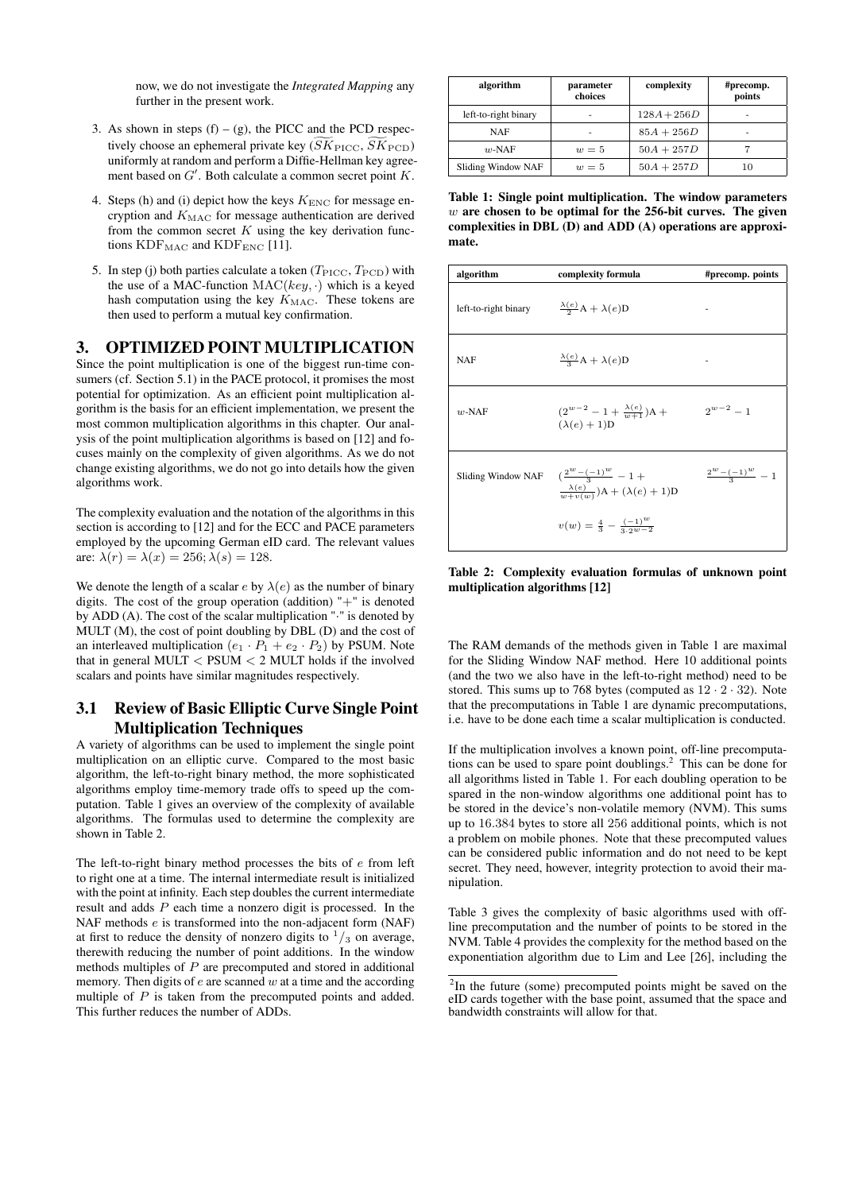now, we do not investigate the *Integrated Mapping* any further in the present work.

- 3. As shown in steps  $(f) (g)$ , the PICC and the PCD respectively choose an ephemeral private key  $(SK_{\text{PICC}}, \widetilde{SK}_{\text{PCD}})$ uniformly at random and perform a Diffie-Hellman key agreement based on  $G'$ . Both calculate a common secret point  $K$ .
- 4. Steps (h) and (i) depict how the keys  $K_{\text{ENC}}$  for message encryption and  $K_{\text{MAC}}$  for message authentication are derived from the common secret  $K$  using the key derivation functions  $KDF_{MAC}$  and  $KDF_{ENC}$  [\[11\]](#page-8-4).
- 5. In step (j) both parties calculate a token ( $T_{\text{PICC}}$ ,  $T_{\text{PCD}}$ ) with the use of a MAC-function  $MAC(key, \cdot)$  which is a keyed hash computation using the key  $K_{\text{MAC}}$ . These tokens are then used to perform a mutual key confirmation.

# <span id="page-2-0"></span>3. OPTIMIZED POINT MULTIPLICATION

Since the point multiplication is one of the biggest run-time con-sumers (cf. Section [5.1\)](#page-5-1) in the PACE protocol, it promises the most potential for optimization. As an efficient point multiplication algorithm is the basis for an efficient implementation, we present the most common multiplication algorithms in this chapter. Our analysis of the point multiplication algorithms is based on [\[12\]](#page-8-9) and focuses mainly on the complexity of given algorithms. As we do not change existing algorithms, we do not go into details how the given algorithms work.

The complexity evaluation and the notation of the algorithms in this section is according to [\[12\]](#page-8-9) and for the ECC and PACE parameters employed by the upcoming German eID card. The relevant values are:  $\lambda(r) = \lambda(x) = 256; \lambda(s) = 128.$ 

We denote the length of a scalar e by  $\lambda(e)$  as the number of binary digits. The cost of the group operation (addition) "+" is denoted by ADD (A). The cost of the scalar multiplication  $\cdot$ " is denoted by MULT (M), the cost of point doubling by DBL (D) and the cost of an interleaved multiplication  $(e_1 \cdot P_1 + e_2 \cdot P_2)$  by PSUM. Note that in general MULT  $\langle$  PSUM  $\langle$  2 MULT holds if the involved scalars and points have similar magnitudes respectively.

# 3.1 Review of Basic Elliptic Curve Single Point Multiplication Techniques

A variety of algorithms can be used to implement the single point multiplication on an elliptic curve. Compared to the most basic algorithm, the left-to-right binary method, the more sophisticated algorithms employ time-memory trade offs to speed up the computation. Table [1](#page-2-1) gives an overview of the complexity of available algorithms. The formulas used to determine the complexity are shown in Table [2.](#page-2-2)

The left-to-right binary method processes the bits of e from left to right one at a time. The internal intermediate result is initialized with the point at infinity. Each step doubles the current intermediate result and adds P each time a nonzero digit is processed. In the NAF methods  $e$  is transformed into the non-adjacent form (NAF) at first to reduce the density of nonzero digits to  $\frac{1}{3}$  on average, therewith reducing the number of point additions. In the window methods multiples of  $P$  are precomputed and stored in additional memory. Then digits of  $e$  are scanned  $w$  at a time and the according multiple of  $P$  is taken from the precomputed points and added. This further reduces the number of ADDs.

| algorithm            | parameter<br>choices | complexity    | #precomp.<br>points |
|----------------------|----------------------|---------------|---------------------|
| left-to-right binary | ۰                    | $128A + 256D$ | ۰                   |
| <b>NAF</b>           | ۰                    | $85A + 256D$  | ۰                   |
| $w$ -NAF             | $w=5$                | $50A + 257D$  |                     |
| Sliding Window NAF   | $w=5$                | $50A + 257D$  | 10                  |

<span id="page-2-1"></span>Table 1: Single point multiplication. The window parameters  $w$  are chosen to be optimal for the 256-bit curves. The given complexities in DBL (D) and ADD (A) operations are approximate.

| algorithm            | complexity formula                                                                                                     | #precomp. points         |
|----------------------|------------------------------------------------------------------------------------------------------------------------|--------------------------|
| left-to-right binary | $\frac{\lambda(e)}{2}$ A + $\lambda(e)$ D                                                                              |                          |
| <b>NAF</b>           | $\frac{\lambda(e)}{3}$ A + $\lambda(e)$ D                                                                              |                          |
| $w$ -NAF             | $(2^{w-2}-1+\frac{\lambda(e)}{w+1})A +$<br>$(\lambda(e) + 1)D$                                                         | $2^{w-2} - 1$            |
|                      | Sliding Window NAF $\left(\frac{2^w - (-1)^w}{2} - 1 + \right)$<br>$\frac{\lambda(e)}{w+v(w)}$ )A + $(\lambda(e)+1)$ D | $\frac{2^w-(-1)^w}{2}-1$ |
|                      | $v(w) = \frac{4}{3} - \frac{(-1)^w}{2 \cdot 2w - 2}$                                                                   |                          |

<span id="page-2-2"></span>Table 2: Complexity evaluation formulas of unknown point multiplication algorithms [\[12\]](#page-8-9)

The RAM demands of the methods given in Table [1](#page-2-1) are maximal for the Sliding Window NAF method. Here 10 additional points (and the two we also have in the left-to-right method) need to be stored. This sums up to 768 bytes (computed as  $12 \cdot 2 \cdot 32$ ). Note that the precomputations in Table [1](#page-2-1) are dynamic precomputations, i.e. have to be done each time a scalar multiplication is conducted.

If the multiplication involves a known point, off-line precomputations can be used to spare point doublings.<sup>2</sup> This can be done for all algorithms listed in Table [1.](#page-2-1) For each doubling operation to be spared in the non-window algorithms one additional point has to be stored in the device's non-volatile memory (NVM). This sums up to 16.384 bytes to store all 256 additional points, which is not a problem on mobile phones. Note that these precomputed values can be considered public information and do not need to be kept secret. They need, however, integrity protection to avoid their manipulation.

Table [3](#page-3-1) gives the complexity of basic algorithms used with offline precomputation and the number of points to be stored in the NVM. Table [4](#page-3-2) provides the complexity for the method based on the exponentiation algorithm due to Lim and Lee [\[26\]](#page-9-12), including the

 $2$ In the future (some) precomputed points might be saved on the eID cards together with the base point, assumed that the space and bandwidth constraints will allow for that.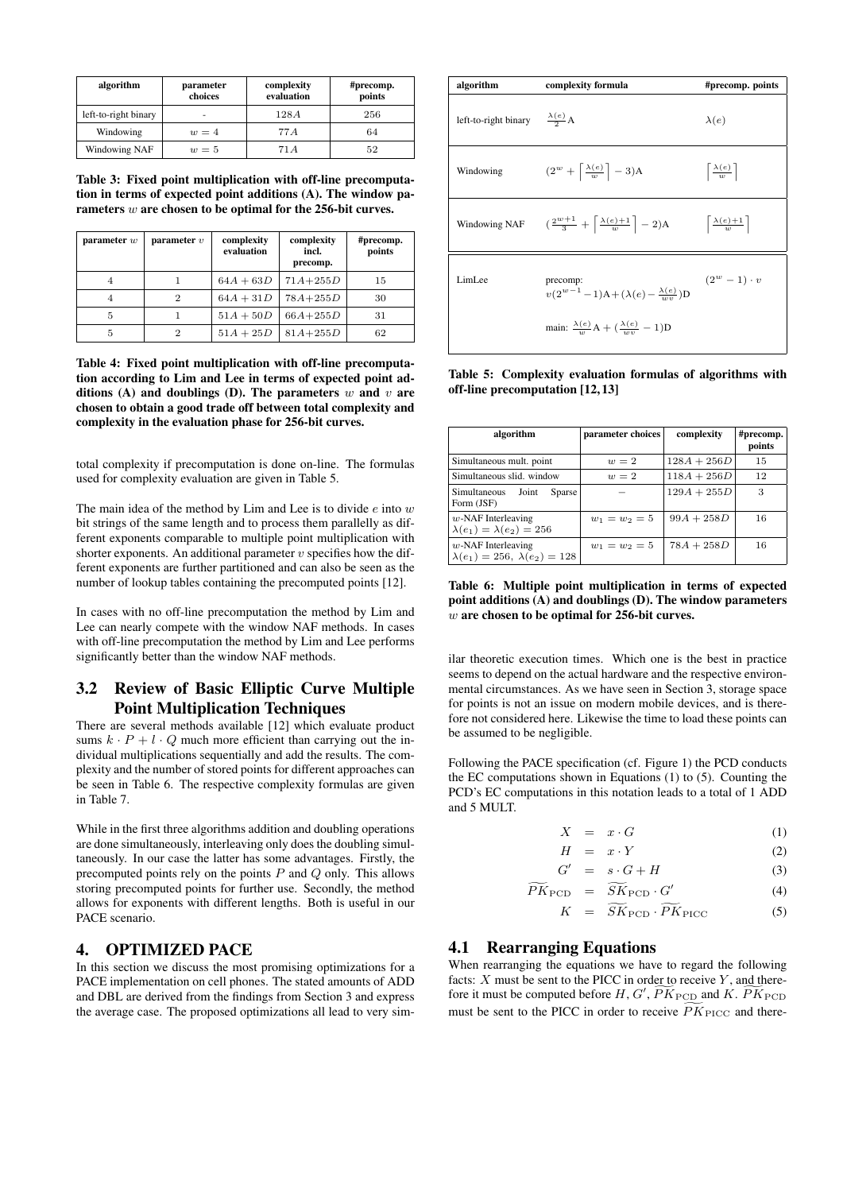| algorithm            | parameter<br>choices | complexity<br>evaluation | #precomp.<br>points |
|----------------------|----------------------|--------------------------|---------------------|
| left-to-right binary | ٠                    | 128A                     | 256                 |
| Windowing            | $w=4$                | 77 A                     | 64                  |
| Windowing NAF        | $w=5$                | 71 A                     | 52                  |

<span id="page-3-1"></span>Table 3: Fixed point multiplication with off-line precomputation in terms of expected point additions (A). The window parameters w are chosen to be optimal for the 256-bit curves.

| parameter $w$ | parameter $v$  | complexity<br>evaluation | complexity<br>incl.<br>precomp. | #precomp.<br>points |
|---------------|----------------|--------------------------|---------------------------------|---------------------|
|               |                | $64A + 63D$              | $71A + 255D$                    | 15                  |
| 4             | $\overline{2}$ | $64A + 31D$              | $78A + 255D$                    | 30                  |
| 5             |                | $51A + 50D$              | $66A + 255D$                    | 31                  |
| 5             | 2              | $51A + 25D$              | $81A + 255D$                    | 62                  |

<span id="page-3-2"></span>Table 4: Fixed point multiplication with off-line precomputation according to Lim and Lee in terms of expected point additions (A) and doublings (D). The parameters  $w$  and  $v$  are chosen to obtain a good trade off between total complexity and complexity in the evaluation phase for 256-bit curves.

total complexity if precomputation is done on-line. The formulas used for complexity evaluation are given in Table [5.](#page-3-3)

The main idea of the method by Lim and Lee is to divide  $e$  into  $w$ bit strings of the same length and to process them parallelly as different exponents comparable to multiple point multiplication with shorter exponents. An additional parameter  $v$  specifies how the different exponents are further partitioned and can also be seen as the number of lookup tables containing the precomputed points [\[12\]](#page-8-9).

In cases with no off-line precomputation the method by Lim and Lee can nearly compete with the window NAF methods. In cases with off-line precomputation the method by Lim and Lee performs significantly better than the window NAF methods.

# 3.2 Review of Basic Elliptic Curve Multiple Point Multiplication Techniques

There are several methods available [\[12\]](#page-8-9) which evaluate product sums  $k \cdot P + l \cdot Q$  much more efficient than carrying out the individual multiplications sequentially and add the results. The complexity and the number of stored points for different approaches can be seen in Table [6.](#page-3-4) The respective complexity formulas are given in Table [7.](#page-4-0)

While in the first three algorithms addition and doubling operations are done simultaneously, interleaving only does the doubling simultaneously. In our case the latter has some advantages. Firstly, the precomputed points rely on the points  $P$  and  $Q$  only. This allows storing precomputed points for further use. Secondly, the method allows for exponents with different lengths. Both is useful in our PACE scenario.

#### <span id="page-3-0"></span>4. OPTIMIZED PACE

In this section we discuss the most promising optimizations for a PACE implementation on cell phones. The stated amounts of ADD and DBL are derived from the findings from Section [3](#page-2-0) and express the average case. The proposed optimizations all lead to very sim-



<span id="page-3-3"></span>Table 5: Complexity evaluation formulas of algorithms with off-line precomputation [\[12,](#page-8-9) [13\]](#page-8-10)

| algorithm                                                           | parameter choices | complexity    | #precomp.<br>points |
|---------------------------------------------------------------------|-------------------|---------------|---------------------|
| Simultaneous mult. point                                            | $w=2$             | $128A + 256D$ | 15                  |
| Simultaneous slid. window                                           | $w=2$             | $118A + 256D$ | 12                  |
| Simultaneous<br>Joint<br><b>Sparse</b><br>Form (JSF)                |                   | $129A + 255D$ | 3                   |
| $w$ -NAF Interleaving<br>$\lambda(e_1) = \lambda(e_2) = 256$        | $w_1 = w_2 = 5$   | $99A + 258D$  | 16                  |
| $w$ -NAF Interleaving<br>$\lambda(e_1) = 256, \ \lambda(e_2) = 128$ | $w_1 = w_2 = 5$   | $78A + 258D$  | 16                  |

<span id="page-3-4"></span>Table 6: Multiple point multiplication in terms of expected point additions (A) and doublings (D). The window parameters w are chosen to be optimal for 256-bit curves.

ilar theoretic execution times. Which one is the best in practice seems to depend on the actual hardware and the respective environmental circumstances. As we have seen in Section [3,](#page-2-0) storage space for points is not an issue on modern mobile devices, and is therefore not considered here. Likewise the time to load these points can be assumed to be negligible.

Following the PACE specification (cf. Figure [1\)](#page-1-1) the PCD conducts the EC computations shown in Equations [\(1\)](#page-3-5) to [\(5\)](#page-3-5). Counting the PCD's EC computations in this notation leads to a total of 1 ADD and 5 MULT.

<span id="page-3-5"></span>
$$
X = x \cdot G \tag{1}
$$

$$
H = x \cdot Y \tag{2}
$$

$$
G' = s \cdot G + H \tag{3}
$$

$$
\widetilde{PK}_{\text{PCD}} = \widetilde{SK}_{\text{PCD}} \cdot G' \tag{4}
$$

$$
K = SK_{\text{PCD}} \cdot PK_{\text{PIC}} \tag{5}
$$

#### <span id="page-3-6"></span>4.1 Rearranging Equations

When rearranging the equations we have to regard the following facts:  $X$  must be sent to the PICC in order to receive  $Y$ , and therefore it must be computed before  $H, G', \widetilde{PK}_{\text{PCD}}$  and  $K, \widetilde{PK}_{\text{PCD}}$ must be sent to the PICC in order to receive  $\widetilde{PK}_{\text{PICC}}$  and there-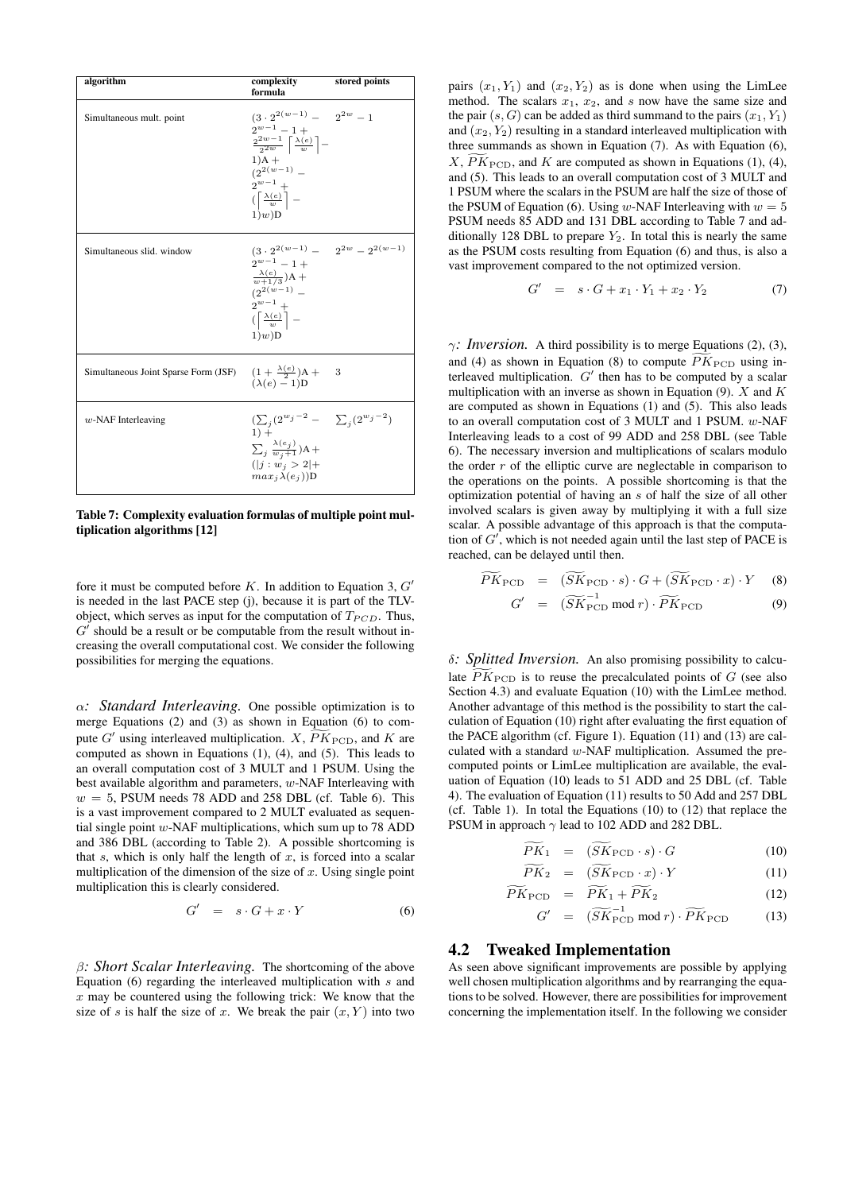| algorithm                            | complexity<br>formula                                                                                                                                                                                                                                | stored points |
|--------------------------------------|------------------------------------------------------------------------------------------------------------------------------------------------------------------------------------------------------------------------------------------------------|---------------|
| Simultaneous mult. point             | $(3 \cdot 2^{2(w-1)} - 2^{2w} - 1)$<br>$2^{w-1}-1+$<br>$\frac{2^{2w-1}}{2^{2w}}\left\lceil\frac{\lambda(e)}{w}\right\rceil-$<br>$1)$ A +<br>$(2^{2(w-1)} -$<br>$2^{w-1}$ +<br>$(\left\lceil \frac{\lambda(e)}{w} \right\rceil =$<br>$1)$ <i>w</i> )D |               |
| Simultaneous slid. window            | $(3 \cdot 2^{2(w-1)} - 2^{2w} - 2^{2(w-1)})$<br>$2^{w-1} - 1 +$<br>$\frac{\lambda(e)}{w+1/3}$ )A +<br>$(2^{2(w-1)} -$<br>$2^{w-1}$ +<br>$\left(\left\lceil \frac{\lambda(e)}{w} \right\rceil - \right)$<br>$1)$ w)D                                  |               |
| Simultaneous Joint Sparse Form (JSF) | $(1 + \frac{\lambda(e)}{2})A +$<br>$(\lambda(e) - 1)D$                                                                                                                                                                                               | 3             |
| $w$ -NAF Interleaving                | $(\sum_{i} (2^{w_i-2} - \sum_{i} (2^{w_i-2}))$<br>$1) +$<br>$\sum_j \frac{\lambda(e_j)}{w_j+1}$ )A+<br>$( j:w_j>2 +$<br>$max_i \lambda(e_i))$ D                                                                                                      |               |

<span id="page-4-0"></span>Table 7: Complexity evaluation formulas of multiple point multiplication algorithms [\[12\]](#page-8-9)

fore it must be computed before  $K$ . In addition to Equation [3,](#page-3-5)  $G'$ is needed in the last PACE step (j), because it is part of the TLVobject, which serves as input for the computation of  $T_{PCD}$ . Thus,  $G'$  should be a result or be computable from the result without increasing the overall computational cost. We consider the following possibilities for merging the equations.

α*: Standard Interleaving.* One possible optimization is to merge Equations [\(2\)](#page-3-5) and [\(3\)](#page-3-5) as shown in Equation [\(6\)](#page-4-1) to compute  $G'$  using interleaved multiplication.  $X$ ,  $\widetilde{PK}_{\text{PCD}}$ , and  $K$  are computed as shown in Equations [\(1\)](#page-3-5), [\(4\)](#page-3-5), and [\(5\)](#page-3-5). This leads to an overall computation cost of 3 MULT and 1 PSUM. Using the best available algorithm and parameters,  $w$ -NAF Interleaving with  $w = 5$ , PSUM needs 78 ADD and 258 DBL (cf. Table [6\)](#page-3-4). This is a vast improvement compared to 2 MULT evaluated as sequential single point  $w$ -NAF multiplications, which sum up to 78 ADD and 386 DBL (according to Table [2\)](#page-2-2). A possible shortcoming is that  $s$ , which is only half the length of  $x$ , is forced into a scalar multiplication of the dimension of the size of  $x$ . Using single point multiplication this is clearly considered.

<span id="page-4-1"></span>
$$
G' = s \cdot G + x \cdot Y \tag{6}
$$

β*: Short Scalar Interleaving.* The shortcoming of the above Equation  $(6)$  regarding the interleaved multiplication with s and  $x$  may be countered using the following trick: We know that the size of s is half the size of x. We break the pair  $(x, Y)$  into two

pairs  $(x_1, Y_1)$  and  $(x_2, Y_2)$  as is done when using the LimLee method. The scalars  $x_1$ ,  $x_2$ , and s now have the same size and the pair  $(s, G)$  can be added as third summand to the pairs  $(x_1, Y_1)$ and  $(x_2, Y_2)$  resulting in a standard interleaved multiplication with three summands as shown in Equation [\(7\)](#page-4-2). As with Equation [\(6\)](#page-4-1),  $X, \widetilde{PK}_{\text{PCD}}$ , and K are computed as shown in Equations [\(1\)](#page-3-5), [\(4\)](#page-3-5), and [\(5\)](#page-3-5). This leads to an overall computation cost of 3 MULT and 1 PSUM where the scalars in the PSUM are half the size of those of the PSUM of Equation [\(6\)](#page-4-1). Using w-NAF Interleaving with  $w = 5$ PSUM needs 85 ADD and 131 DBL according to Table [7](#page-4-0) and additionally 128 DBL to prepare  $Y_2$ . In total this is nearly the same as the PSUM costs resulting from Equation [\(6\)](#page-4-1) and thus, is also a vast improvement compared to the not optimized version.

<span id="page-4-2"></span>
$$
G' = s \cdot G + x_1 \cdot Y_1 + x_2 \cdot Y_2 \tag{7}
$$

 $\gamma$ *: Inversion.* A third possibility is to merge Equations [\(2\)](#page-3-5), [\(3\)](#page-3-5), and [\(4\)](#page-3-5) as shown in Equation [\(8\)](#page-4-3) to compute  $\overline{PK}_{\text{PCD}}$  using interleaved multiplication.  $G'$  then has to be computed by a scalar multiplication with an inverse as shown in Equation [\(9\)](#page-4-3).  $X$  and  $K$ are computed as shown in Equations [\(1\)](#page-3-5) and [\(5\)](#page-3-5). This also leads to an overall computation cost of 3 MULT and 1 PSUM. w-NAF Interleaving leads to a cost of 99 ADD and 258 DBL (see Table [6\)](#page-3-4). The necessary inversion and multiplications of scalars modulo the order  $r$  of the elliptic curve are neglectable in comparison to the operations on the points. A possible shortcoming is that the optimization potential of having an s of half the size of all other involved scalars is given away by multiplying it with a full size scalar. A possible advantage of this approach is that the computation of  $G'$ , which is not needed again until the last step of PACE is reached, can be delayed until then.

<span id="page-4-3"></span>
$$
\widetilde{PK}_{\text{PCD}} = (\widetilde{SK}_{\text{PCD}} \cdot s) \cdot G + (\widetilde{SK}_{\text{PCD}} \cdot x) \cdot Y \quad (8)
$$

$$
G' = (\widetilde{SK}_{\text{PCD}}^{-1} \text{ mod } r) \cdot \widetilde{PK}_{\text{PCD}} \tag{9}
$$

δ*: Splitted Inversion.* An also promising possibility to calculate  $\widetilde{PK}_{\text{PCD}}$  is to reuse the precalculated points of G (see also Section [4.3\)](#page-5-2) and evaluate Equation [\(10\)](#page-4-4) with the LimLee method. Another advantage of this method is the possibility to start the calculation of Equation [\(10\)](#page-4-4) right after evaluating the first equation of the PACE algorithm (cf. Figure [1\)](#page-1-1). Equation [\(11\)](#page-4-4) and [\(13\)](#page-4-4) are calculated with a standard w-NAF multiplication. Assumed the precomputed points or LimLee multiplication are available, the evaluation of Equation [\(10\)](#page-4-4) leads to 51 ADD and 25 DBL (cf. Table [4\)](#page-3-2). The evaluation of Equation [\(11\)](#page-4-4) results to 50 Add and 257 DBL (cf. Table [1\)](#page-2-1). In total the Equations [\(10\)](#page-4-4) to [\(12\)](#page-4-4) that replace the PSUM in approach  $\gamma$  lead to 102 ADD and 282 DBL.

<span id="page-4-4"></span>
$$
\overline{PK}_1 = (\overline{SK}_{\text{PCD}} \cdot s) \cdot G \tag{10}
$$

$$
\widetilde{PK}_2 = (\widetilde{SK}_{\text{PCD}} \cdot x) \cdot Y \tag{11}
$$

$$
PK_{\text{PCD}} = PK_1 + PK_2 \tag{12}
$$

$$
G' = (\widetilde{SK}_{\text{PCD}}^{-1} \text{ mod } r) \cdot \widetilde{PK}_{\text{PCD}} \tag{13}
$$

#### 4.2 Tweaked Implementation

As seen above significant improvements are possible by applying well chosen multiplication algorithms and by rearranging the equations to be solved. However, there are possibilities for improvement concerning the implementation itself. In the following we consider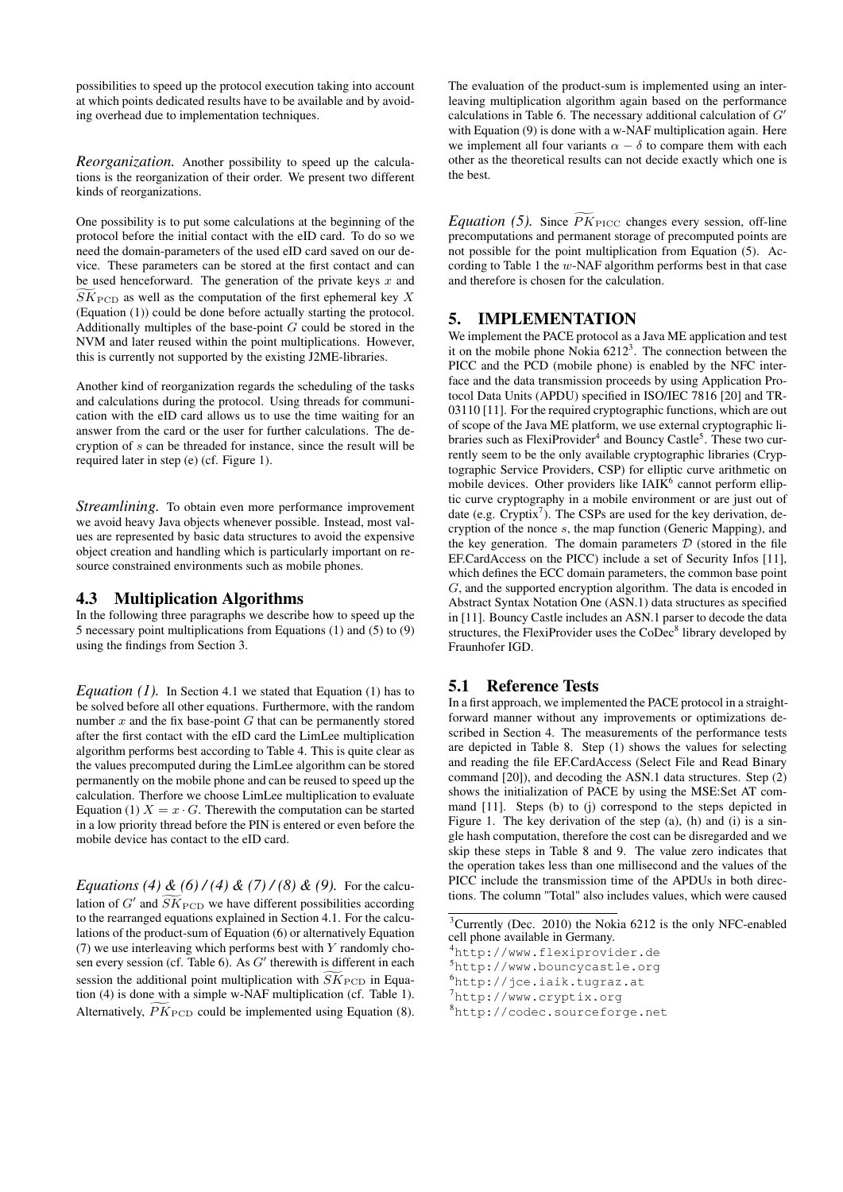possibilities to speed up the protocol execution taking into account at which points dedicated results have to be available and by avoiding overhead due to implementation techniques.

*Reorganization.* Another possibility to speed up the calculations is the reorganization of their order. We present two different kinds of reorganizations.

One possibility is to put some calculations at the beginning of the protocol before the initial contact with the eID card. To do so we need the domain-parameters of the used eID card saved on our device. These parameters can be stored at the first contact and can be used henceforward. The generation of the private keys  $x$  and  $S\overline{K}_{\text{PCD}}$  as well as the computation of the first ephemeral key X (Equation [\(1\)](#page-3-5)) could be done before actually starting the protocol. Additionally multiples of the base-point G could be stored in the NVM and later reused within the point multiplications. However, this is currently not supported by the existing J2ME-libraries.

Another kind of reorganization regards the scheduling of the tasks and calculations during the protocol. Using threads for communication with the eID card allows us to use the time waiting for an answer from the card or the user for further calculations. The decryption of s can be threaded for instance, since the result will be required later in step (e) (cf. Figure [1\)](#page-1-1).

*Streamlining.* To obtain even more performance improvement we avoid heavy Java objects whenever possible. Instead, most values are represented by basic data structures to avoid the expensive object creation and handling which is particularly important on resource constrained environments such as mobile phones.

#### <span id="page-5-2"></span>4.3 Multiplication Algorithms

In the following three paragraphs we describe how to speed up the 5 necessary point multiplications from Equations [\(1\)](#page-3-5) and [\(5\)](#page-3-5) to [\(9\)](#page-4-3) using the findings from Section [3.](#page-2-0)

*Equation [\(1\)](#page-3-5).* In Section [4.1](#page-3-6) we stated that Equation [\(1\)](#page-3-5) has to be solved before all other equations. Furthermore, with the random number  $x$  and the fix base-point  $G$  that can be permanently stored after the first contact with the eID card the LimLee multiplication algorithm performs best according to Table [4.](#page-3-2) This is quite clear as the values precomputed during the LimLee algorithm can be stored permanently on the mobile phone and can be reused to speed up the calculation. Therfore we choose LimLee multiplication to evaluate Equation [\(1\)](#page-3-5)  $X = x \cdot G$ . Therewith the computation can be started in a low priority thread before the PIN is entered or even before the mobile device has contact to the eID card.

*Equations [\(4\)](#page-3-5)*  $\&$  *[\(6\)](#page-4-1)* / *(4)*  $\&$  *[\(7\)](#page-4-2)* / *[\(8\)](#page-4-3)*  $\&$  *[\(9\)](#page-4-3).* For the calculation of G' and  $\widetilde{SK}_{\text{PCD}}$  we have different possibilities according to the rearranged equations explained in Section [4.1.](#page-3-6) For the calculations of the product-sum of Equation [\(6\)](#page-4-1) or alternatively Equation [\(7\)](#page-4-2) we use interleaving which performs best with  $Y$  randomly cho-sen every session (cf. Table [6\)](#page-3-4). As  $G'$  therewith is different in each session the additional point multiplication with  $\widetilde{SK}_{\text{PCD}}$  in Equation [\(4\)](#page-3-5) is done with a simple w-NAF multiplication (cf. Table [1\)](#page-2-1). Alternatively,  $\widetilde{PK}_{\text{PCD}}$  could be implemented using Equation [\(8\)](#page-4-3).

The evaluation of the product-sum is implemented using an interleaving multiplication algorithm again based on the performance calculations in Table [6.](#page-3-4) The necessary additional calculation of  $G'$ with Equation [\(9\)](#page-4-3) is done with a w-NAF multiplication again. Here we implement all four variants  $\alpha - \delta$  to compare them with each other as the theoretical results can not decide exactly which one is the best.

*Equation [\(5\)](#page-3-5).* Since  $\overline{PK}_{\text{PICC}}$  changes every session, off-line precomputations and permanent storage of precomputed points are not possible for the point multiplication from Equation [\(5\)](#page-3-5). According to Table [1](#page-2-1) the w-NAF algorithm performs best in that case and therefore is chosen for the calculation.

### <span id="page-5-0"></span>5. IMPLEMENTATION

We implement the PACE protocol as a Java ME application and test it on the mobile phone Nokia  $6212<sup>3</sup>$ . The connection between the PICC and the PCD (mobile phone) is enabled by the NFC interface and the data transmission proceeds by using Application Protocol Data Units (APDU) specified in ISO/IEC 7816 [\[20\]](#page-9-13) and TR-03110 [\[11\]](#page-8-4). For the required cryptographic functions, which are out of scope of the Java ME platform, we use external cryptographic libraries such as FlexiProvider<sup>4</sup> and Bouncy Castle<sup>5</sup>. These two currently seem to be the only available cryptographic libraries (Cryptographic Service Providers, CSP) for elliptic curve arithmetic on mobile devices. Other providers like IAIK<sup>6</sup> cannot perform elliptic curve cryptography in a mobile environment or are just out of date (e.g. Cryptix<sup>7</sup>). The CSPs are used for the key derivation, decryption of the nonce s, the map function (Generic Mapping), and the key generation. The domain parameters  $D$  (stored in the file EF.CardAccess on the PICC) include a set of Security Infos [\[11\]](#page-8-4), which defines the ECC domain parameters, the common base point G, and the supported encryption algorithm. The data is encoded in Abstract Syntax Notation One (ASN.1) data structures as specified in [\[11\]](#page-8-4). Bouncy Castle includes an ASN.1 parser to decode the data structures, the FlexiProvider uses the CoDec<sup>8</sup> library developed by Fraunhofer IGD.

# <span id="page-5-1"></span>5.1 Reference Tests

In a first approach, we implemented the PACE protocol in a straightforward manner without any improvements or optimizations described in Section [4.](#page-3-0) The measurements of the performance tests are depicted in Table [8.](#page-6-1) Step (1) shows the values for selecting and reading the file EF.CardAccess (Select File and Read Binary command [\[20\]](#page-9-13)), and decoding the ASN.1 data structures. Step (2) shows the initialization of PACE by using the MSE:Set AT command [\[11\]](#page-8-4). Steps (b) to (j) correspond to the steps depicted in Figure [1.](#page-1-1) The key derivation of the step (a), (h) and (i) is a single hash computation, therefore the cost can be disregarded and we skip these steps in Table [8](#page-6-1) and [9.](#page-6-0) The value zero indicates that the operation takes less than one millisecond and the values of the PICC include the transmission time of the APDUs in both directions. The column "Total" also includes values, which were caused

<sup>3</sup>Currently (Dec. 2010) the Nokia 6212 is the only NFC-enabled cell phone available in Germany.

```
6http://jce.iaik.tugraz.at
```
<sup>4</sup><http://www.flexiprovider.de>

<sup>5</sup><http://www.bouncycastle.org>

<sup>7</sup><http://www.cryptix.org>

<sup>8</sup><http://codec.sourceforge.net>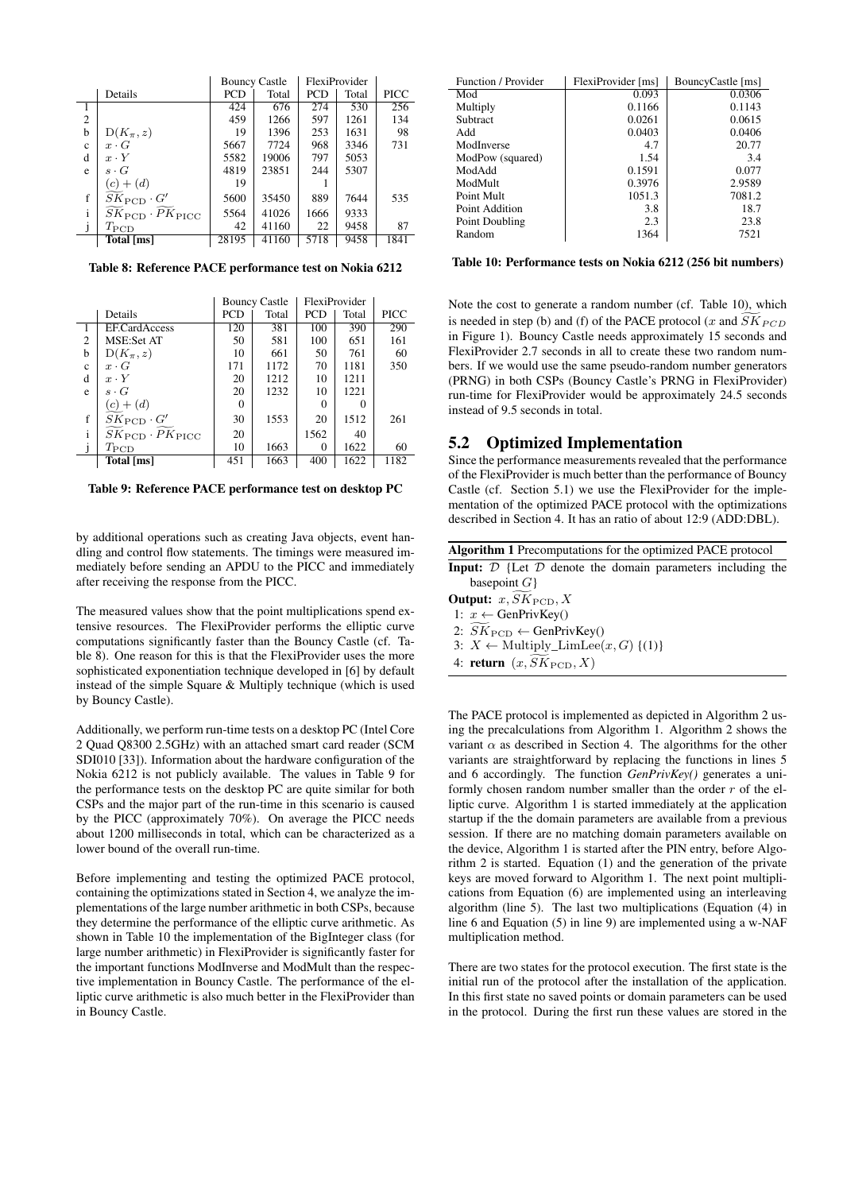|              |                                                                  |            | <b>Bouncy Castle</b> | FlexiProvider |       |      |
|--------------|------------------------------------------------------------------|------------|----------------------|---------------|-------|------|
|              | Details                                                          | <b>PCD</b> | Total                | <b>PCD</b>    | Total | PICC |
|              |                                                                  | 424        | 676                  | 274           | 530   | 256  |
| $\mathbf{2}$ |                                                                  | 459        | 1266                 | 597           | 1261  | 134  |
| b            | $D(K_{\pi},z)$                                                   | 19         | 1396                 | 253           | 1631  | 98   |
| $\mathbf{c}$ | $x \cdot G$                                                      | 5667       | 7724                 | 968           | 3346  | 731  |
| d            | $x \cdot Y$                                                      | 5582       | 19006                | 797           | 5053  |      |
| e            | $s \cdot G$                                                      | 4819       | 23851                | 244           | 5307  |      |
|              | $(c) + (d)$                                                      | 19         |                      |               |       |      |
| f            | $SK_{\text{PCD}}\cdot G'$                                        | 5600       | 35450                | 889           | 7644  | 535  |
| $\mathbf{i}$ | $\widetilde{SK}_{\text{PCD}} \cdot \widetilde{PK}_{\text{PICC}}$ | 5564       | 41026                | 1666          | 9333  |      |
|              | $T_{\rm PCD}$                                                    | 42         | 41160                | 22            | 9458  | 87   |
|              | Total [ms]                                                       | 28195      | 41160                | 5718          | 9458  | 1841 |

<span id="page-6-1"></span>Table 8: Reference PACE performance test on Nokia 6212

|                |                                                                  |            | <b>Bouncy Castle</b> |            | FlexiProvider |      |
|----------------|------------------------------------------------------------------|------------|----------------------|------------|---------------|------|
|                | Details                                                          | <b>PCD</b> | Total                | <b>PCD</b> | Total         | PICC |
|                | <b>EF.CardAccess</b>                                             | 120        | 381                  | 100        | 390           | 290  |
| $\overline{c}$ | <b>MSE:Set AT</b>                                                | 50         | 581                  | 100        | 651           | 161  |
| h              | $D(K_{\pi},z)$                                                   | 10         | 661                  | 50         | 761           | 60   |
| $\mathbf{c}$   | $x \cdot G$                                                      | 171        | 1172                 | 70         | 1181          | 350  |
| d              | $x \cdot Y$                                                      | 20         | 1212                 | 10         | 1211          |      |
| e              | $s \cdot G$                                                      | 20         | 1232                 | 10         | 1221          |      |
|                | $(c) + (d)$                                                      | 0          |                      | 0          |               |      |
| f              | $SK_{\text{PCD}}\cdot G'$                                        | 30         | 1553                 | 20         | 1512          | 261  |
| $\mathbf{i}$   | $\widetilde{SK}_{\text{PCD}} \cdot \widetilde{PK}_{\text{PICC}}$ | 20         |                      | 1562       | 40            |      |
|                | $T_{\rm PCD}$                                                    | 10         | 1663                 | 0          | 1622          | 60   |
|                | Total [ms]                                                       | 451        | 1663                 | 400        | 1622          | 1182 |

<span id="page-6-0"></span>Table 9: Reference PACE performance test on desktop PC

by additional operations such as creating Java objects, event handling and control flow statements. The timings were measured immediately before sending an APDU to the PICC and immediately after receiving the response from the PICC.

The measured values show that the point multiplications spend extensive resources. The FlexiProvider performs the elliptic curve computations significantly faster than the Bouncy Castle (cf. Table [8\)](#page-6-1). One reason for this is that the FlexiProvider uses the more sophisticated exponentiation technique developed in [\[6\]](#page-8-11) by default instead of the simple Square & Multiply technique (which is used by Bouncy Castle).

Additionally, we perform run-time tests on a desktop PC (Intel Core 2 Quad Q8300 2.5GHz) with an attached smart card reader (SCM SDI010 [\[33\]](#page-9-14)). Information about the hardware configuration of the Nokia 6212 is not publicly available. The values in Table [9](#page-6-0) for the performance tests on the desktop PC are quite similar for both CSPs and the major part of the run-time in this scenario is caused by the PICC (approximately 70%). On average the PICC needs about 1200 milliseconds in total, which can be characterized as a lower bound of the overall run-time.

Before implementing and testing the optimized PACE protocol, containing the optimizations stated in Section [4,](#page-3-0) we analyze the implementations of the large number arithmetic in both CSPs, because they determine the performance of the elliptic curve arithmetic. As shown in Table [10](#page-6-2) the implementation of the BigInteger class (for large number arithmetic) in FlexiProvider is significantly faster for the important functions ModInverse and ModMult than the respective implementation in Bouncy Castle. The performance of the elliptic curve arithmetic is also much better in the FlexiProvider than in Bouncy Castle.

| Function / Provider | FlexiProvider [ms] | BouncyCastle [ms] |
|---------------------|--------------------|-------------------|
| Mod                 | 0.093              | 0.0306            |
| Multiply            | 0.1166             | 0.1143            |
| Subtract            | 0.0261             | 0.0615            |
| Add                 | 0.0403             | 0.0406            |
| ModInverse          | 4.7                | 20.77             |
| ModPow (squared)    | 1.54               | 3.4               |
| ModAdd              | 0.1591             | 0.077             |
| ModMult             | 0.3976             | 2.9589            |
| Point Mult          | 1051.3             | 7081.2            |
| Point Addition      | 3.8                | 18.7              |
| Point Doubling      | 2.3                | 23.8              |
| Random              | 1364               | 7521              |

<span id="page-6-2"></span>Table 10: Performance tests on Nokia 6212 (256 bit numbers)

Note the cost to generate a random number (cf. Table [10\)](#page-6-2), which is needed in step (b) and (f) of the PACE protocol (x and  $\widetilde{SK}_{PCD}$ in Figure [1\)](#page-1-1). Bouncy Castle needs approximately 15 seconds and FlexiProvider 2.7 seconds in all to create these two random numbers. If we would use the same pseudo-random number generators (PRNG) in both CSPs (Bouncy Castle's PRNG in FlexiProvider) run-time for FlexiProvider would be approximately 24.5 seconds instead of 9.5 seconds in total.

## 5.2 Optimized Implementation

Since the performance measurements revealed that the performance of the FlexiProvider is much better than the performance of Bouncy Castle (cf. Section [5.1\)](#page-5-1) we use the FlexiProvider for the implementation of the optimized PACE protocol with the optimizations described in Section [4.](#page-3-0) It has an ratio of about 12:9 (ADD:DBL).

<span id="page-6-3"></span>

|  |  |  | Algorithm 1 Precomputations for the optimized PACE protocol           |  |
|--|--|--|-----------------------------------------------------------------------|--|
|  |  |  | <b>Input:</b> $D$ {Let $D$ denote the domain parameters including the |  |

| <b>Input:</b> $\nu$ $\Delta$ $\alpha$ $\alpha$ $\beta$ activity the domain parameters increasing |  |
|--------------------------------------------------------------------------------------------------|--|
| basepoint $G$ }                                                                                  |  |
| <b>Output:</b> $x, SK_{\text{PCD}}, X$                                                           |  |
| 1: $x \leftarrow$ GenPrivKey()                                                                   |  |
| 2: $SK_{\text{PCD}} \leftarrow \text{GenPrivKey}()$                                              |  |
| 3: $X \leftarrow \text{Multiply\_LimLee}(x, G) \{(1)\}\$                                         |  |
| 4: return $(x, SK_{\text{PCD}}, X)$                                                              |  |

The PACE protocol is implemented as depicted in Algorithm [2](#page-7-2) using the precalculations from Algorithm [1.](#page-6-3) Algorithm [2](#page-7-2) shows the variant  $\alpha$  as described in Section [4.](#page-3-0) The algorithms for the other variants are straightforward by replacing the functions in lines [5](#page-7-3) and [6](#page-7-4) accordingly. The function *GenPrivKey()* generates a uniformly chosen random number smaller than the order  $r$  of the elliptic curve. Algorithm [1](#page-6-3) is started immediately at the application startup if the the domain parameters are available from a previous session. If there are no matching domain parameters available on the device, Algorithm [1](#page-6-3) is started after the PIN entry, before Algorithm [2](#page-7-2) is started. Equation [\(1\)](#page-3-5) and the generation of the private keys are moved forward to Algorithm [1.](#page-6-3) The next point multiplications from Equation [\(6\)](#page-4-1) are implemented using an interleaving algorithm (line [5\)](#page-7-3). The last two multiplications (Equation [\(4\)](#page-3-5) in line [6](#page-7-4) and Equation [\(5\)](#page-3-5) in line [9\)](#page-7-5) are implemented using a w-NAF multiplication method.

There are two states for the protocol execution. The first state is the initial run of the protocol after the installation of the application. In this first state no saved points or domain parameters can be used in the protocol. During the first run these values are stored in the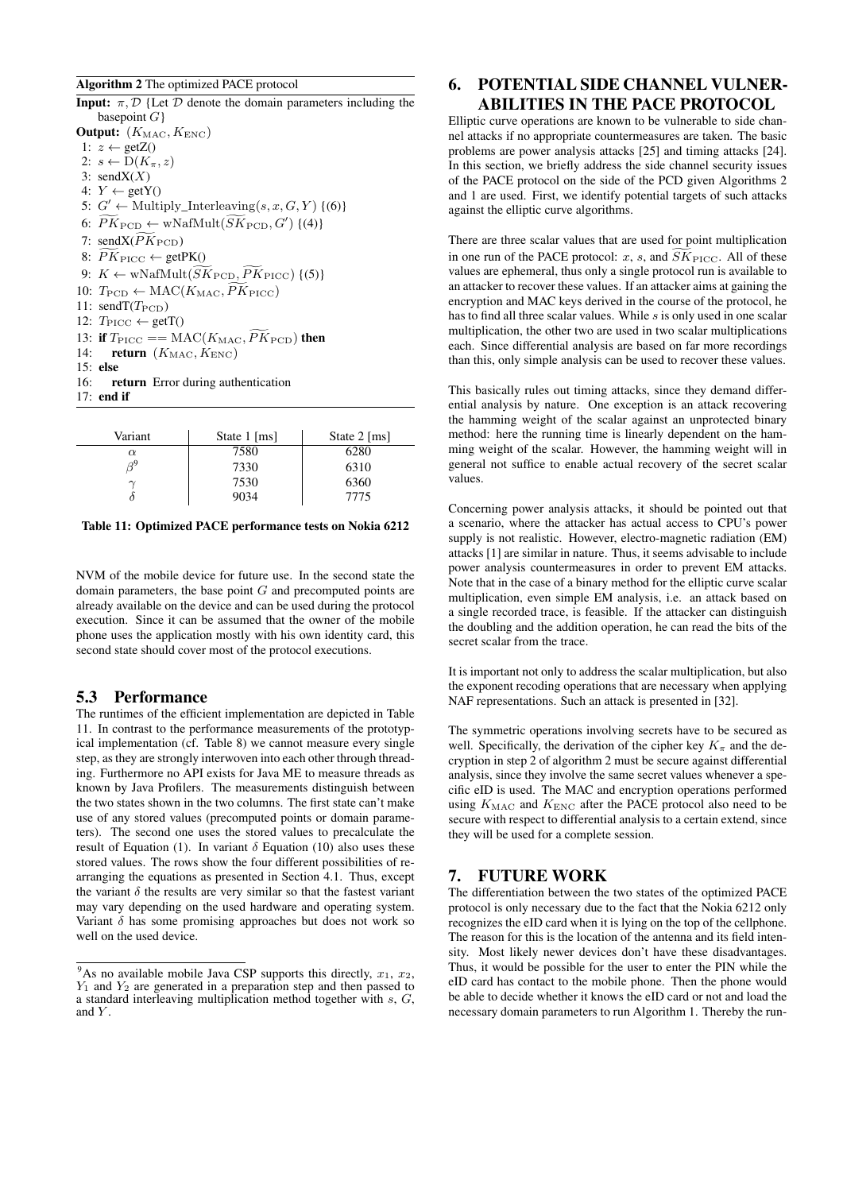# <span id="page-7-2"></span>Algorithm 2 The optimized PACE protocol

<span id="page-7-7"></span><span id="page-7-5"></span><span id="page-7-3"></span>**Input:**  $\pi$ ,  $\mathcal{D}$  {Let  $\mathcal{D}$  denote the domain parameters including the basepoint  $G$ } Output:  $(K_{\text{MAC}}, K_{\text{ENC}})$ 1:  $z \leftarrow \text{getZ}()$ 2:  $s \leftarrow D(K_\pi, z)$ 3: send $X(X)$ 4:  $Y \leftarrow getY()$ 5:  $G' \leftarrow$  Multiply\_Interleaving(s, x, G, Y) {[\(6\)](#page-4-1)} 6:  $\widetilde{PK}_{\text{PCD}} \leftarrow \text{wNafMult}(\widetilde{SK}_{\text{PCD}}, G') \{(4)\}$  $\widetilde{PK}_{\text{PCD}} \leftarrow \text{wNafMult}(\widetilde{SK}_{\text{PCD}}, G') \{(4)\}$  $\widetilde{PK}_{\text{PCD}} \leftarrow \text{wNafMult}(\widetilde{SK}_{\text{PCD}}, G') \{(4)\}$ 7: send $X(\widetilde{PK}_{\text{PCD}})$ 8:  $\widetilde{PK}_{\text{PICC}} \leftarrow \text{getPK}()$ 9:  $K \leftarrow \text{wNafMult}(\widetilde{SK}_{\text{PCD}}, \widetilde{PK}_{\text{PICC}})$  {[\(5\)](#page-3-5)} 10:  $T_{\text{PCD}} \leftarrow \text{MAC}(K_{\text{MAC}}, \widetilde{PK}_{\text{PICC}})$ 11:  $\text{sendT}(T_{\text{PCD}})$ 12:  $T_{\text{PIC}} \leftarrow \text{getT}()$ 13: if  $T_{\text{PICC}} = \text{MAC}(K_{\text{MAC}}, \widetilde{PK}_{\text{PCD}})$  then<br>14: **return**  $(K_{\text{MAC}}, K_{\text{ENC}})$ return  $(K_{\text{MAC}}, K_{\text{ENC}})$ 15: else 16: return Error during authentication 17: end if

| Variant  | State $1$ [ms] | State $2$ [ms] |
|----------|----------------|----------------|
| $\alpha$ | 7580           | 6280           |
|          | 7330           | 6310           |
| $\sim$   | 7530           | 6360           |
|          | 9034           | 7775           |

#### <span id="page-7-6"></span>Table 11: Optimized PACE performance tests on Nokia 6212

NVM of the mobile device for future use. In the second state the domain parameters, the base point G and precomputed points are already available on the device and can be used during the protocol execution. Since it can be assumed that the owner of the mobile phone uses the application mostly with his own identity card, this second state should cover most of the protocol executions.

#### 5.3 Performance

The runtimes of the efficient implementation are depicted in Table [11.](#page-7-6) In contrast to the performance measurements of the prototypical implementation (cf. Table [8\)](#page-6-1) we cannot measure every single step, as they are strongly interwoven into each other through threading. Furthermore no API exists for Java ME to measure threads as known by Java Profilers. The measurements distinguish between the two states shown in the two columns. The first state can't make use of any stored values (precomputed points or domain parameters). The second one uses the stored values to precalculate the result of Equation [\(1\)](#page-3-5). In variant  $\delta$  Equation [\(10\)](#page-4-4) also uses these stored values. The rows show the four different possibilities of rearranging the equations as presented in Section [4.1.](#page-3-6) Thus, except the variant  $\delta$  the results are very similar so that the fastest variant may vary depending on the used hardware and operating system. Variant  $\delta$  has some promising approaches but does not work so well on the used device.

# <span id="page-7-0"></span>6. POTENTIAL SIDE CHANNEL VULNER-ABILITIES IN THE PACE PROTOCOL

Elliptic curve operations are known to be vulnerable to side channel attacks if no appropriate countermeasures are taken. The basic problems are power analysis attacks [\[25\]](#page-9-15) and timing attacks [\[24\]](#page-9-16). In this section, we briefly address the side channel security issues of the PACE protocol on the side of the PCD given Algorithms [2](#page-7-2) and [1](#page-6-3) are used. First, we identify potential targets of such attacks against the elliptic curve algorithms.

<span id="page-7-4"></span>There are three scalar values that are used for point multiplication in one run of the PACE protocol: x, s, and  $\widetilde{SK}_{\text{PICC}}$ . All of these values are ephemeral, thus only a single protocol run is available to an attacker to recover these values. If an attacker aims at gaining the encryption and MAC keys derived in the course of the protocol, he has to find all three scalar values. While s is only used in one scalar multiplication, the other two are used in two scalar multiplications each. Since differential analysis are based on far more recordings than this, only simple analysis can be used to recover these values.

This basically rules out timing attacks, since they demand differential analysis by nature. One exception is an attack recovering the hamming weight of the scalar against an unprotected binary method: here the running time is linearly dependent on the hamming weight of the scalar. However, the hamming weight will in general not suffice to enable actual recovery of the secret scalar values.

Concerning power analysis attacks, it should be pointed out that a scenario, where the attacker has actual access to CPU's power supply is not realistic. However, electro-magnetic radiation (EM) attacks [\[1\]](#page-8-12) are similar in nature. Thus, it seems advisable to include power analysis countermeasures in order to prevent EM attacks. Note that in the case of a binary method for the elliptic curve scalar multiplication, even simple EM analysis, i.e. an attack based on a single recorded trace, is feasible. If the attacker can distinguish the doubling and the addition operation, he can read the bits of the secret scalar from the trace.

It is important not only to address the scalar multiplication, but also the exponent recoding operations that are necessary when applying NAF representations. Such an attack is presented in [\[32\]](#page-9-17).

The symmetric operations involving secrets have to be secured as well. Specifically, the derivation of the cipher key  $K_{\pi}$  and the decryption in step [2](#page-7-7) of algorithm [2](#page-7-2) must be secure against differential analysis, since they involve the same secret values whenever a specific eID is used. The MAC and encryption operations performed using  $K_{\text{MAC}}$  and  $K_{\text{ENC}}$  after the PACE protocol also need to be secure with respect to differential analysis to a certain extend, since they will be used for a complete session.

#### <span id="page-7-1"></span>7. FUTURE WORK

The differentiation between the two states of the optimized PACE protocol is only necessary due to the fact that the Nokia 6212 only recognizes the eID card when it is lying on the top of the cellphone. The reason for this is the location of the antenna and its field intensity. Most likely newer devices don't have these disadvantages. Thus, it would be possible for the user to enter the PIN while the eID card has contact to the mobile phone. Then the phone would be able to decide whether it knows the eID card or not and load the necessary domain parameters to run Algorithm [1.](#page-6-3) Thereby the run-

<sup>&</sup>lt;sup>9</sup>As no available mobile Java CSP supports this directly,  $x_1, x_2$ ,  $Y_1$  and  $Y_2$  are generated in a preparation step and then passed to a standard interleaving multiplication method together with s, G, and Y.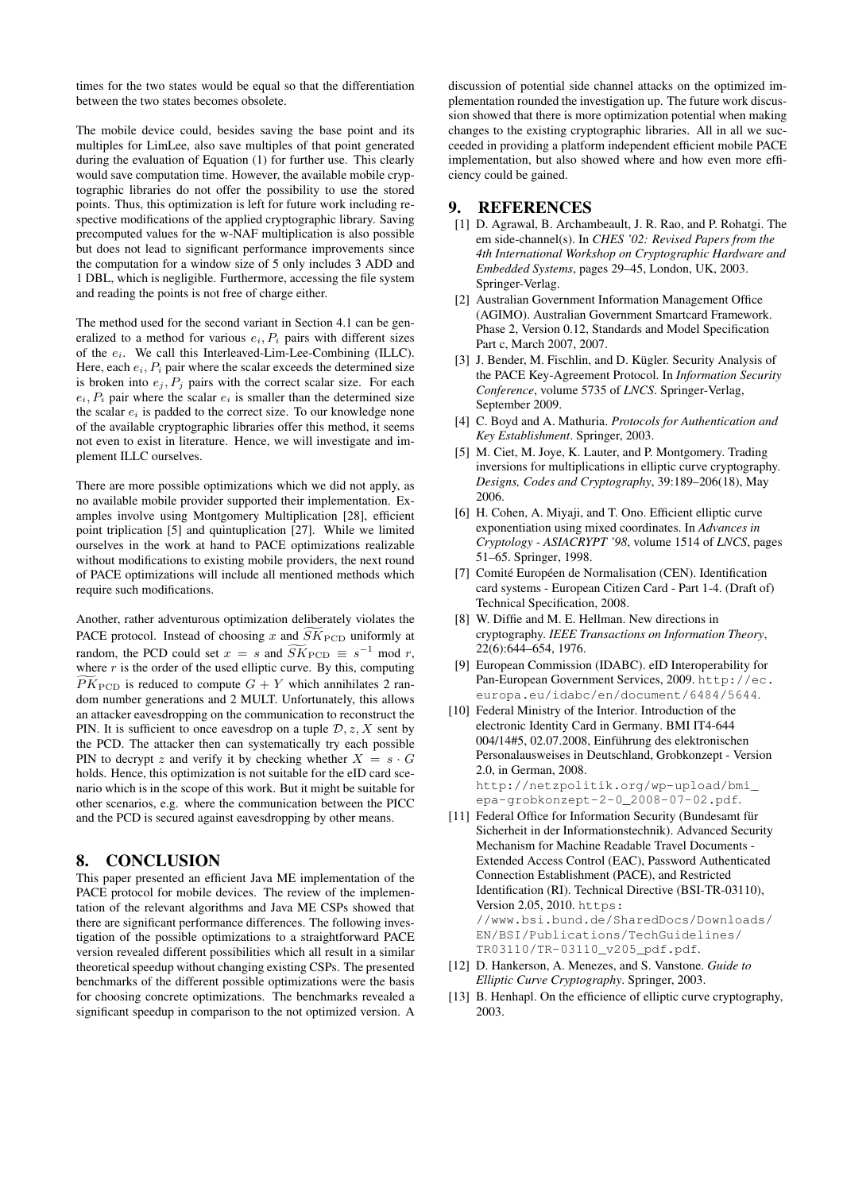times for the two states would be equal so that the differentiation between the two states becomes obsolete.

The mobile device could, besides saving the base point and its multiples for LimLee, also save multiples of that point generated during the evaluation of Equation [\(1\)](#page-3-5) for further use. This clearly would save computation time. However, the available mobile cryptographic libraries do not offer the possibility to use the stored points. Thus, this optimization is left for future work including respective modifications of the applied cryptographic library. Saving precomputed values for the w-NAF multiplication is also possible but does not lead to significant performance improvements since the computation for a window size of 5 only includes 3 ADD and 1 DBL, which is negligible. Furthermore, accessing the file system and reading the points is not free of charge either.

The method used for the second variant in Section [4.1](#page-3-6) can be generalized to a method for various  $e_i$ ,  $P_i$  pairs with different sizes of the  $e_i$ . We call this Interleaved-Lim-Lee-Combining (ILLC). Here, each  $e_i$ ,  $P_i$  pair where the scalar exceeds the determined size is broken into  $e_j$ ,  $P_j$  pairs with the correct scalar size. For each  $e_i$ ,  $P_i$  pair where the scalar  $e_i$  is smaller than the determined size the scalar  $e_i$  is padded to the correct size. To our knowledge none of the available cryptographic libraries offer this method, it seems not even to exist in literature. Hence, we will investigate and implement ILLC ourselves.

There are more possible optimizations which we did not apply, as no available mobile provider supported their implementation. Examples involve using Montgomery Multiplication [\[28\]](#page-9-18), efficient point triplication [\[5\]](#page-8-13) and quintuplication [\[27\]](#page-9-19). While we limited ourselves in the work at hand to PACE optimizations realizable without modifications to existing mobile providers, the next round of PACE optimizations will include all mentioned methods which require such modifications.

Another, rather adventurous optimization deliberately violates the PACE protocol. Instead of choosing x and  $\widetilde{SK}_{\text{PCD}}$  uniformly at random, the PCD could set  $x = s$  and  $\widetilde{SK}_{\text{PCD}} \equiv s^{-1} \mod r$ , where  $r$  is the order of the used elliptic curve. By this, computing  $\widetilde{PK}_{\text{PCD}}$  is reduced to compute  $G + Y$  which annihilates 2 random number generations and 2 MULT. Unfortunately, this allows an attacker eavesdropping on the communication to reconstruct the PIN. It is sufficient to once eavesdrop on a tuple  $\mathcal{D}, z, X$  sent by the PCD. The attacker then can systematically try each possible PIN to decrypt z and verify it by checking whether  $X = s \cdot G$ holds. Hence, this optimization is not suitable for the eID card scenario which is in the scope of this work. But it might be suitable for other scenarios, e.g. where the communication between the PICC and the PCD is secured against eavesdropping by other means.

#### <span id="page-8-5"></span>8. CONCLUSION

This paper presented an efficient Java ME implementation of the PACE protocol for mobile devices. The review of the implementation of the relevant algorithms and Java ME CSPs showed that there are significant performance differences. The following investigation of the possible optimizations to a straightforward PACE version revealed different possibilities which all result in a similar theoretical speedup without changing existing CSPs. The presented benchmarks of the different possible optimizations were the basis for choosing concrete optimizations. The benchmarks revealed a significant speedup in comparison to the not optimized version. A

discussion of potential side channel attacks on the optimized implementation rounded the investigation up. The future work discussion showed that there is more optimization potential when making changes to the existing cryptographic libraries. All in all we succeeded in providing a platform independent efficient mobile PACE implementation, but also showed where and how even more efficiency could be gained.

# 9. REFERENCES

- <span id="page-8-12"></span>[1] D. Agrawal, B. Archambeault, J. R. Rao, and P. Rohatgi. The em side-channel(s). In *CHES '02: Revised Papers from the 4th International Workshop on Cryptographic Hardware and Embedded Systems*, pages 29–45, London, UK, 2003. Springer-Verlag.
- <span id="page-8-0"></span>[2] Australian Government Information Management Office (AGIMO). Australian Government Smartcard Framework. Phase 2, Version 0.12, Standards and Model Specification Part c, March 2007, 2007.
- <span id="page-8-6"></span>[3] J. Bender, M. Fischlin, and D. Kügler. Security Analysis of the PACE Key-Agreement Protocol. In *Information Security Conference*, volume 5735 of *LNCS*. Springer-Verlag, September 2009.
- <span id="page-8-8"></span>[4] C. Boyd and A. Mathuria. *Protocols for Authentication and Key Establishment*. Springer, 2003.
- <span id="page-8-13"></span>[5] M. Ciet, M. Joye, K. Lauter, and P. Montgomery. Trading inversions for multiplications in elliptic curve cryptography. *Designs, Codes and Cryptography*, 39:189–206(18), May 2006.
- <span id="page-8-11"></span>[6] H. Cohen, A. Miyaji, and T. Ono. Efficient elliptic curve exponentiation using mixed coordinates. In *Advances in Cryptology - ASIACRYPT '98*, volume 1514 of *LNCS*, pages 51–65. Springer, 1998.
- <span id="page-8-2"></span>[7] Comité Européen de Normalisation (CEN). Identification card systems - European Citizen Card - Part 1-4. (Draft of) Technical Specification, 2008.
- <span id="page-8-7"></span>[8] W. Diffie and M. E. Hellman. New directions in cryptography. *IEEE Transactions on Information Theory*, 22(6):644–654, 1976.
- <span id="page-8-1"></span>[9] European Commission (IDABC). eID Interoperability for Pan-European Government Services, 2009. [http://ec.](http://ec.europa.eu/idabc/en/document/6484/5644) [europa.eu/idabc/en/document/6484/5644](http://ec.europa.eu/idabc/en/document/6484/5644).
- <span id="page-8-3"></span>[10] Federal Ministry of the Interior. Introduction of the electronic Identity Card in Germany. BMI IT4-644 004/14#5, 02.07.2008, Einführung des elektronischen Personalausweises in Deutschland, Grobkonzept - Version 2.0, in German, 2008. [http://netzpolitik.org/wp-upload/bmi\\_](http://netzpolitik.org/wp-upload/bmi_epa-grobkonzept-2-0_2008-07-02.pdf) [epa-grobkonzept-2-0\\_2008-07-02.pdf](http://netzpolitik.org/wp-upload/bmi_epa-grobkonzept-2-0_2008-07-02.pdf).
- <span id="page-8-4"></span>[11] Federal Office for Information Security (Bundesamt für Sicherheit in der Informationstechnik). Advanced Security Mechanism for Machine Readable Travel Documents - Extended Access Control (EAC), Password Authenticated Connection Establishment (PACE), and Restricted Identification (RI). Technical Directive (BSI-TR-03110), Version 2.05, 2010. [https:](https://www.bsi.bund.de/SharedDocs/Downloads/EN/BSI/Publications/TechGuidelines/TR03110/TR-03110_v205_pdf.pdf) [//www.bsi.bund.de/SharedDocs/Downloads/](https://www.bsi.bund.de/SharedDocs/Downloads/EN/BSI/Publications/TechGuidelines/TR03110/TR-03110_v205_pdf.pdf) [EN/BSI/Publications/TechGuidelines/](https://www.bsi.bund.de/SharedDocs/Downloads/EN/BSI/Publications/TechGuidelines/TR03110/TR-03110_v205_pdf.pdf) [TR03110/TR-03110\\_v205\\_pdf.pdf](https://www.bsi.bund.de/SharedDocs/Downloads/EN/BSI/Publications/TechGuidelines/TR03110/TR-03110_v205_pdf.pdf).
- <span id="page-8-9"></span>[12] D. Hankerson, A. Menezes, and S. Vanstone. *Guide to Elliptic Curve Cryptography*. Springer, 2003.
- <span id="page-8-10"></span>[13] B. Henhapl. On the efficience of elliptic curve cryptography, 2003.